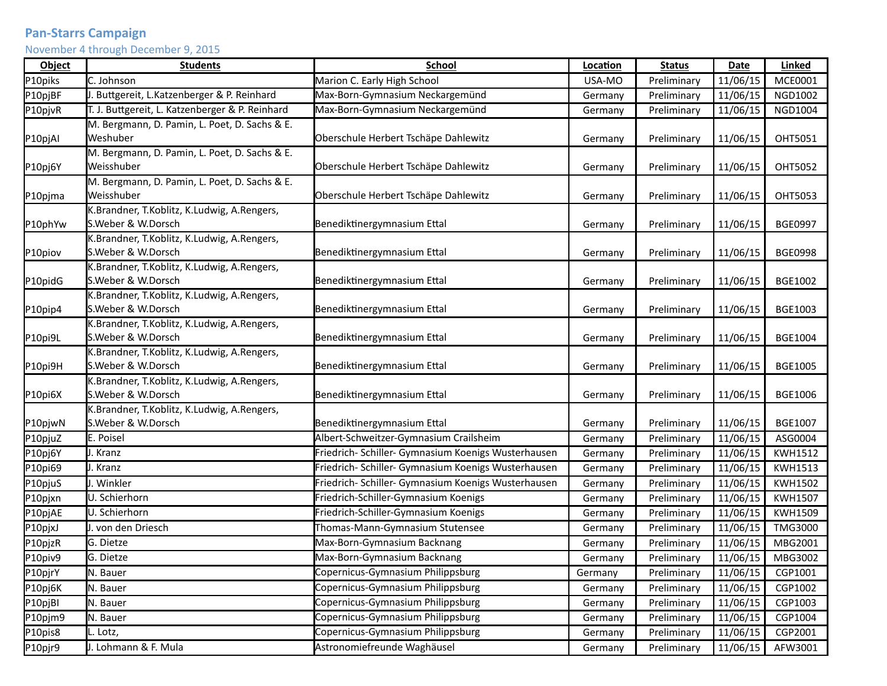## **Pan-Starrs Campaign**

November 4 through December 9, 2015

| <b>Object</b>       | <b>Students</b>                                                   | <b>School</b>                                       | Location | <b>Status</b> | Date     | Linked         |
|---------------------|-------------------------------------------------------------------|-----------------------------------------------------|----------|---------------|----------|----------------|
| P10piks             | C. Johnson                                                        | Marion C. Early High School                         | USA-MO   | Preliminary   | 11/06/15 | MCE0001        |
| P10pjBF             | J. Buttgereit, L.Katzenberger & P. Reinhard                       | Max-Born-Gymnasium Neckargemünd                     | Germany  | Preliminary   | 11/06/15 | NGD1002        |
| P10pjvR             | T. J. Buttgereit, L. Katzenberger & P. Reinhard                   | Max-Born-Gymnasium Neckargemünd                     | Germany  | Preliminary   | 11/06/15 | NGD1004        |
|                     | M. Bergmann, D. Pamin, L. Poet, D. Sachs & E.                     |                                                     |          |               |          |                |
| P10pjAI             | Weshuber                                                          | Oberschule Herbert Tschäpe Dahlewitz                | Germany  | Preliminary   | 11/06/15 | OHT5051        |
|                     | M. Bergmann, D. Pamin, L. Poet, D. Sachs & E.                     |                                                     |          |               |          |                |
| P10pj6Y             | Weisshuber                                                        | Oberschule Herbert Tschäpe Dahlewitz                | Germany  | Preliminary   | 11/06/15 | OHT5052        |
|                     | M. Bergmann, D. Pamin, L. Poet, D. Sachs & E.                     |                                                     |          |               |          |                |
| P10pjma             | Weisshuber                                                        | Oberschule Herbert Tschäpe Dahlewitz                | Germany  | Preliminary   | 11/06/15 | OHT5053        |
|                     | K.Brandner, T.Koblitz, K.Ludwig, A.Rengers,                       |                                                     |          |               |          |                |
| P10phYw             | S.Weber & W.Dorsch                                                | Benediktinergymnasium Ettal                         | Germany  | Preliminary   | 11/06/15 | <b>BGE0997</b> |
|                     | K.Brandner, T.Koblitz, K.Ludwig, A.Rengers,                       |                                                     |          |               |          |                |
| P10piov             | S.Weber & W.Dorsch                                                | Benediktinergymnasium Ettal                         | Germany  | Preliminary   | 11/06/15 | <b>BGE0998</b> |
|                     | K.Brandner, T.Koblitz, K.Ludwig, A.Rengers,                       |                                                     |          |               |          |                |
| P10pidG             | S.Weber & W.Dorsch<br>K.Brandner, T.Koblitz, K.Ludwig, A.Rengers, | Benediktinergymnasium Ettal                         | Germany  | Preliminary   | 11/06/15 | BGE1002        |
|                     | S.Weber & W.Dorsch                                                | Benediktinergymnasium Ettal                         |          |               |          | BGE1003        |
| P10pip4             | K.Brandner, T.Koblitz, K.Ludwig, A.Rengers,                       |                                                     | Germany  | Preliminary   | 11/06/15 |                |
| P10pi9L             | S.Weber & W.Dorsch                                                | Benediktinergymnasium Ettal                         | Germany  | Preliminary   | 11/06/15 | <b>BGE1004</b> |
|                     | K.Brandner, T.Koblitz, K.Ludwig, A.Rengers,                       |                                                     |          |               |          |                |
| P10pi9H             | S.Weber & W.Dorsch                                                | Benediktinergymnasium Ettal                         | Germany  | Preliminary   | 11/06/15 | <b>BGE1005</b> |
|                     | K.Brandner, T.Koblitz, K.Ludwig, A.Rengers,                       |                                                     |          |               |          |                |
| P10pi6X             | S.Weber & W.Dorsch                                                | Benediktinergymnasium Ettal                         | Germany  | Preliminary   | 11/06/15 | <b>BGE1006</b> |
|                     | K.Brandner, T.Koblitz, K.Ludwig, A.Rengers,                       |                                                     |          |               |          |                |
| P10pjwN             | S.Weber & W.Dorsch                                                | Benediktinergymnasium Ettal                         | Germany  | Preliminary   | 11/06/15 | <b>BGE1007</b> |
| P10pjuZ             | E. Poisel                                                         | Albert-Schweitzer-Gymnasium Crailsheim              | Germany  | Preliminary   | 11/06/15 | ASG0004        |
| P10pj6Y             | J. Kranz                                                          | Friedrich- Schiller- Gymnasium Koenigs Wusterhausen | Germany  | Preliminary   | 11/06/15 | <b>KWH1512</b> |
| P10pi69             | J. Kranz                                                          | Friedrich- Schiller- Gymnasium Koenigs Wusterhausen | Germany  | Preliminary   | 11/06/15 | <b>KWH1513</b> |
| P10pjuS             | J. Winkler                                                        | Friedrich- Schiller- Gymnasium Koenigs Wusterhausen | Germany  | Preliminary   | 11/06/15 | KWH1502        |
| P10pjxn             | U. Schierhorn                                                     | Friedrich-Schiller-Gymnasium Koenigs                | Germany  | Preliminary   | 11/06/15 | KWH1507        |
| P10pjAE             | U. Schierhorn                                                     | Friedrich-Schiller-Gymnasium Koenigs                | Germany  | Preliminary   | 11/06/15 | KWH1509        |
| P <sub>10pjxJ</sub> | J. von den Driesch                                                | Thomas-Mann-Gymnasium Stutensee                     | Germany  | Preliminary   | 11/06/15 | TMG3000        |
| P10pjzR             | G. Dietze                                                         | Max-Born-Gymnasium Backnang                         | Germany  | Preliminary   | 11/06/15 | MBG2001        |
| P <sub>10piv9</sub> | G. Dietze                                                         | Max-Born-Gymnasium Backnang                         | Germany  | Preliminary   | 11/06/15 | MBG3002        |
| $P10$ pjrY          | N. Bauer                                                          | Copernicus-Gymnasium Philippsburg                   | Germany  | Preliminary   | 11/06/15 | CGP1001        |
| P10pj6K             | N. Bauer                                                          | Copernicus-Gymnasium Philippsburg                   | Germany  | Preliminary   | 11/06/15 | CGP1002        |
| P <sub>10pjBI</sub> | N. Bauer                                                          | Copernicus-Gymnasium Philippsburg                   | Germany  | Preliminary   | 11/06/15 | CGP1003        |
| P10pjm9             | N. Bauer                                                          | Copernicus-Gymnasium Philippsburg                   | Germany  | Preliminary   | 11/06/15 | CGP1004        |
| P10pis8             | L. Lotz,                                                          | Copernicus-Gymnasium Philippsburg                   | Germany  | Preliminary   | 11/06/15 | CGP2001        |
| P <sub>10pjr9</sub> | J. Lohmann & F. Mula                                              | Astronomiefreunde Waghäusel                         | Germany  | Preliminary   | 11/06/15 | AFW3001        |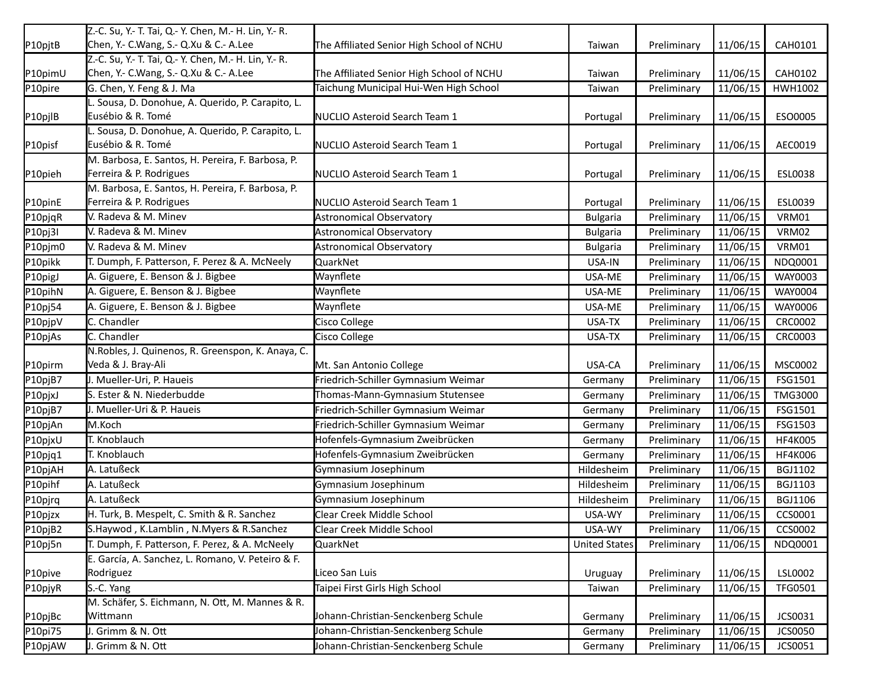|         | Z.-C. Su, Y.- T. Tai, Q.- Y. Chen, M.- H. Lin, Y.- R. |                                           |                      |             |          |                |
|---------|-------------------------------------------------------|-------------------------------------------|----------------------|-------------|----------|----------------|
| P10pjtB | Chen, Y.- C.Wang, S.- Q.Xu & C.- A.Lee                | The Affiliated Senior High School of NCHU | Taiwan               | Preliminary | 11/06/15 | <b>CAH0101</b> |
|         | Z.-C. Su, Y.- T. Tai, Q.- Y. Chen, M.- H. Lin, Y.- R. |                                           |                      |             |          |                |
| P10pimU | Chen, Y.- C.Wang, S.- Q.Xu & C.- A.Lee                | The Affiliated Senior High School of NCHU | Taiwan               | Preliminary | 11/06/15 | <b>CAH0102</b> |
| P10pire | G. Chen, Y. Feng & J. Ma                              | Taichung Municipal Hui-Wen High School    | Taiwan               | Preliminary | 11/06/15 | HWH1002        |
|         | L. Sousa, D. Donohue, A. Querido, P. Carapito, L.     |                                           |                      |             |          |                |
| P10pjlB | Eusébio & R. Tomé                                     | <b>NUCLIO Asteroid Search Team 1</b>      | Portugal             | Preliminary | 11/06/15 | ESO0005        |
|         | Sousa, D. Donohue, A. Querido, P. Carapito, L.        |                                           |                      |             |          |                |
| P10pisf | Eusébio & R. Tomé                                     | <b>NUCLIO Asteroid Search Team 1</b>      | Portugal             | Preliminary | 11/06/15 | AEC0019        |
|         | M. Barbosa, E. Santos, H. Pereira, F. Barbosa, P.     |                                           |                      |             |          |                |
| P10pieh | Ferreira & P. Rodrigues                               | NUCLIO Asteroid Search Team 1             | Portugal             | Preliminary | 11/06/15 | ESL0038        |
|         | M. Barbosa, E. Santos, H. Pereira, F. Barbosa, P.     |                                           |                      |             |          |                |
| P10pinE | Ferreira & P. Rodrigues                               | <b>NUCLIO Asteroid Search Team 1</b>      | Portugal             | Preliminary | 11/06/15 | ESL0039        |
| P10pjqR | V. Radeva & M. Minev                                  | <b>Astronomical Observatory</b>           | <b>Bulgaria</b>      | Preliminary | 11/06/15 | VRM01          |
| P10pj3I | V. Radeva & M. Minev                                  | <b>Astronomical Observatory</b>           | <b>Bulgaria</b>      | Preliminary | 11/06/15 | VRM02          |
| P10pjm0 | V. Radeva & M. Minev                                  | <b>Astronomical Observatory</b>           | <b>Bulgaria</b>      | Preliminary | 11/06/15 | VRM01          |
| P10pikk | T. Dumph, F. Patterson, F. Perez & A. McNeely         | QuarkNet                                  | USA-IN               | Preliminary | 11/06/15 | NDQ0001        |
| P10pigJ | A. Giguere, E. Benson & J. Bigbee                     | Waynflete                                 | USA-ME               | Preliminary | 11/06/15 | WAY0003        |
| P10pihN | A. Giguere, E. Benson & J. Bigbee                     | Waynflete                                 | USA-ME               | Preliminary | 11/06/15 | WAY0004        |
| P10pj54 | A. Giguere, E. Benson & J. Bigbee                     | Waynflete                                 | USA-ME               | Preliminary | 11/06/15 | WAY0006        |
| P10pjpV | C. Chandler                                           | Cisco College                             | USA-TX               | Preliminary | 11/06/15 | <b>CRC0002</b> |
| P10pjAs | C. Chandler                                           | Cisco College                             | USA-TX               | Preliminary | 11/06/15 | CRC0003        |
|         | N.Robles, J. Quinenos, R. Greenspon, K. Anaya, C.     |                                           |                      |             |          |                |
| P10pirm | Veda & J. Bray-Ali                                    | Mt. San Antonio College                   | USA-CA               | Preliminary | 11/06/15 | MSC0002        |
| P10pjB7 | J. Mueller-Uri, P. Haueis                             | Friedrich-Schiller Gymnasium Weimar       | Germany              | Preliminary | 11/06/15 | FSG1501        |
| P10pjxJ | S. Ester & N. Niederbudde                             | Thomas-Mann-Gymnasium Stutensee           | Germany              | Preliminary | 11/06/15 | <b>TMG3000</b> |
| P10pjB7 | J. Mueller-Uri & P. Haueis                            | Friedrich-Schiller Gymnasium Weimar       | Germany              | Preliminary | 11/06/15 | FSG1501        |
| P10pjAn | M.Koch                                                | Friedrich-Schiller Gymnasium Weimar       | Germany              | Preliminary | 11/06/15 | FSG1503        |
| P10pjxU | T. Knoblauch                                          | Hofenfels-Gymnasium Zweibrücken           | Germany              | Preliminary | 11/06/15 | <b>HF4K005</b> |
| P10pjq1 | T. Knoblauch                                          | Hofenfels-Gymnasium Zweibrücken           | Germany              | Preliminary | 11/06/15 | <b>HF4K006</b> |
| P10pjAH | A. Latußeck                                           | Gymnasium Josephinum                      | Hildesheim           | Preliminary | 11/06/15 | <b>BGJ1102</b> |
| P10pihf | A. Latußeck                                           | Gymnasium Josephinum                      | Hildesheim           | Preliminary | 11/06/15 | <b>BGJ1103</b> |
| P10pjrq | A. Latußeck                                           | Gymnasium Josephinum                      | Hildesheim           | Preliminary | 11/06/15 | BGJ1106        |
| P10pjzx | H. Turk, B. Mespelt, C. Smith & R. Sanchez            | <b>Clear Creek Middle School</b>          | USA-WY               | Preliminary | 11/06/15 | CCS0001        |
| P10pjB2 | S.Haywod, K.Lamblin, N.Myers & R.Sanchez              | Clear Creek Middle School                 | USA-WY               | Preliminary | 11/06/15 | CCS0002        |
| P10pj5n | T. Dumph, F. Patterson, F. Perez, & A. McNeely        | QuarkNet                                  | <b>United States</b> | Preliminary | 11/06/15 | NDQ0001        |
|         | E. García, A. Sanchez, L. Romano, V. Peteiro & F.     |                                           |                      |             |          |                |
| P10pive | Rodriguez                                             | Liceo San Luis                            | Uruguay              | Preliminary | 11/06/15 | LSL0002        |
| P10pjyR | S.-C. Yang                                            | Taipei First Girls High School            | Taiwan               | Preliminary | 11/06/15 | <b>TFG0501</b> |
|         | M. Schäfer, S. Eichmann, N. Ott, M. Mannes & R.       |                                           |                      |             |          |                |
| P10pjBc | Wittmann                                              | Johann-Christian-Senckenberg Schule       | Germany              | Preliminary | 11/06/15 | JCS0031        |
| P10pi75 | J. Grimm & N. Ott                                     | Johann-Christian-Senckenberg Schule       | Germany              | Preliminary | 11/06/15 | JCS0050        |
| P10pjAW | J. Grimm & N. Ott                                     | Johann-Christian-Senckenberg Schule       | Germany              | Preliminary | 11/06/15 | JCS0051        |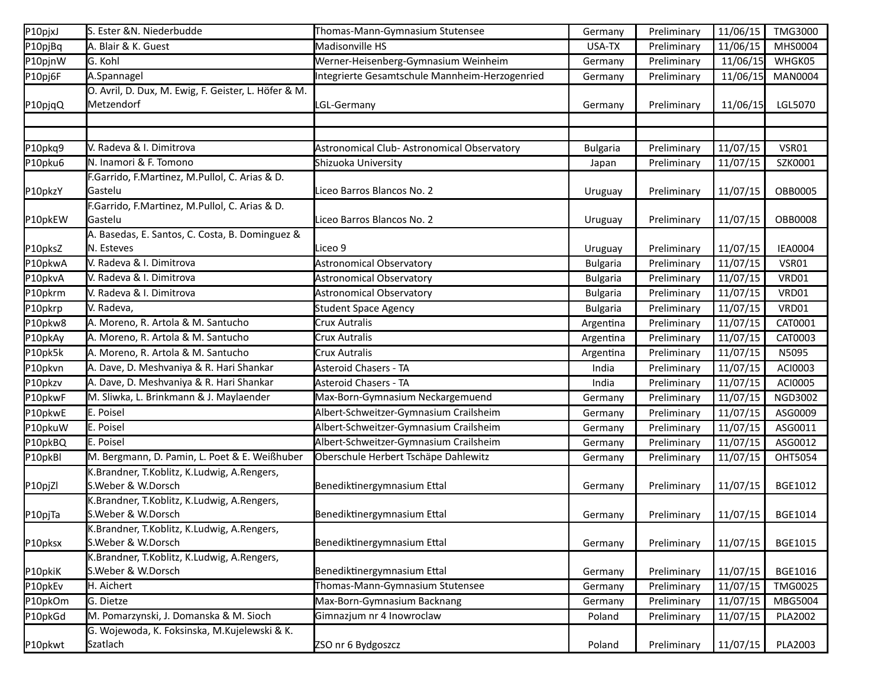| P10pjxJ | S. Ester &N. Niederbudde                             | Thomas-Mann-Gymnasium Stutensee                | Germany         | Preliminary | 11/06/15 | <b>TMG3000</b> |
|---------|------------------------------------------------------|------------------------------------------------|-----------------|-------------|----------|----------------|
| P10pjBq | A. Blair & K. Guest                                  | Madisonville HS                                | USA-TX          | Preliminary | 11/06/15 | MHS0004        |
| P10pjnW | G. Kohl                                              | Werner-Heisenberg-Gymnasium Weinheim           | Germany         | Preliminary | 11/06/15 | WHGK05         |
| P10pj6F | A.Spannagel                                          | Integrierte Gesamtschule Mannheim-Herzogenried | Germany         | Preliminary | 11/06/15 | <b>MAN0004</b> |
|         | O. Avril, D. Dux, M. Ewig, F. Geister, L. Höfer & M. |                                                |                 |             |          |                |
| P10pjqQ | Metzendorf                                           | LGL-Germany                                    | Germany         | Preliminary | 11/06/15 | LGL5070        |
|         |                                                      |                                                |                 |             |          |                |
|         |                                                      |                                                |                 |             |          |                |
| P10pkq9 | V. Radeva & I. Dimitrova                             | Astronomical Club-Astronomical Observatory     | <b>Bulgaria</b> | Preliminary | 11/07/15 | VSR01          |
| P10pku6 | N. Inamori & F. Tomono                               | Shizuoka University                            | Japan           | Preliminary | 11/07/15 | SZK0001        |
|         | F.Garrido, F.Martinez, M.Pullol, C. Arias & D.       |                                                |                 |             |          |                |
| P10pkzY | Gastelu                                              | Liceo Barros Blancos No. 2                     | Uruguay         | Preliminary | 11/07/15 | <b>OBB0005</b> |
|         | F.Garrido, F.Martinez, M.Pullol, C. Arias & D.       |                                                |                 |             |          |                |
| P10pkEW | Gastelu                                              | Liceo Barros Blancos No. 2                     | Uruguay         | Preliminary | 11/07/15 | <b>OBB0008</b> |
|         | A. Basedas, E. Santos, C. Costa, B. Dominguez &      |                                                |                 |             |          |                |
| P10pksZ | N. Esteves                                           | Liceo 9                                        | Uruguay         | Preliminary | 11/07/15 | <b>IEA0004</b> |
| P10pkwA | V. Radeva & I. Dimitrova                             | <b>Astronomical Observatory</b>                | Bulgaria        | Preliminary | 11/07/15 | VSR01          |
| P10pkvA | V. Radeva & I. Dimitrova                             | <b>Astronomical Observatory</b>                | <b>Bulgaria</b> | Preliminary | 11/07/15 | VRD01          |
| P10pkrm | V. Radeva & I. Dimitrova                             | <b>Astronomical Observatory</b>                | <b>Bulgaria</b> | Preliminary | 11/07/15 | VRD01          |
| P10pkrp | V. Radeva,                                           | Student Space Agency                           | <b>Bulgaria</b> | Preliminary | 11/07/15 | VRD01          |
| P10pkw8 | A. Moreno, R. Artola & M. Santucho                   | <b>Crux Autralis</b>                           | Argentina       | Preliminary | 11/07/15 | CAT0001        |
| P10pkAy | A. Moreno, R. Artola & M. Santucho                   | <b>Crux Autralis</b>                           | Argentina       | Preliminary | 11/07/15 | CAT0003        |
| P10pk5k | A. Moreno, R. Artola & M. Santucho                   | Crux Autralis                                  | Argentina       | Preliminary | 11/07/15 | N5095          |
| P10pkvn | A. Dave, D. Meshvaniya & R. Hari Shankar             | <b>Asteroid Chasers - TA</b>                   | India           | Preliminary | 11/07/15 | ACI0003        |
| P10pkzv | A. Dave, D. Meshvaniya & R. Hari Shankar             | <b>Asteroid Chasers - TA</b>                   | India           | Preliminary | 11/07/15 | ACI0005        |
| P10pkwF | M. Sliwka, L. Brinkmann & J. Maylaender              | Max-Born-Gymnasium Neckargemuend               | Germany         | Preliminary | 11/07/15 | NGD3002        |
| P10pkwE | E. Poisel                                            | Albert-Schweitzer-Gymnasium Crailsheim         | Germany         | Preliminary | 11/07/15 | ASG0009        |
| P10pkuW | E. Poisel                                            | Albert-Schweitzer-Gymnasium Crailsheim         | Germany         | Preliminary | 11/07/15 | ASG0011        |
| P10pkBQ | E. Poisel                                            | Albert-Schweitzer-Gymnasium Crailsheim         | Germany         | Preliminary | 11/07/15 | ASG0012        |
| P10pkBl | M. Bergmann, D. Pamin, L. Poet & E. Weißhuber        | Oberschule Herbert Tschäpe Dahlewitz           | Germany         | Preliminary | 11/07/15 | OHT5054        |
|         | K.Brandner, T.Koblitz, K.Ludwig, A.Rengers,          |                                                |                 |             |          |                |
| P10pjZl | S.Weber & W.Dorsch                                   | Benediktinergymnasium Ettal                    | Germany         | Preliminary | 11/07/15 | BGE1012        |
|         | K.Brandner, T.Koblitz, K.Ludwig, A.Rengers,          |                                                |                 |             |          |                |
| P10pjTa | S.Weber & W.Dorsch                                   | Benediktinergymnasium Ettal                    | Germany         | Preliminary | 11/07/15 | BGE1014        |
|         | K.Brandner, T.Koblitz, K.Ludwig, A.Rengers,          |                                                |                 |             |          |                |
| P10pksx | S.Weber & W.Dorsch                                   | Benediktinergymnasium Ettal                    | Germany         | Preliminary | 11/07/15 | BGE1015        |
|         | K.Brandner, T.Koblitz, K.Ludwig, A.Rengers,          |                                                |                 |             |          |                |
| P10pkiK | S.Weber & W.Dorsch                                   | Benediktinergymnasium Ettal                    | Germany         | Preliminary | 11/07/15 | <b>BGE1016</b> |
| P10pkEv | H. Aichert                                           | Thomas-Mann-Gymnasium Stutensee                | Germany         | Preliminary | 11/07/15 | <b>TMG0025</b> |
| P10pkOm | G. Dietze                                            | Max-Born-Gymnasium Backnang                    | Germany         | Preliminary | 11/07/15 | MBG5004        |
| P10pkGd | M. Pomarzynski, J. Domanska & M. Sioch               | Gimnazjum nr 4 Inowroclaw                      | Poland          | Preliminary | 11/07/15 | <b>PLA2002</b> |
|         | G. Wojewoda, K. Foksinska, M. Kujelewski & K.        |                                                |                 |             |          |                |
| P10pkwt | Szatlach                                             | ZSO nr 6 Bydgoszcz                             | Poland          | Preliminary | 11/07/15 | PLA2003        |